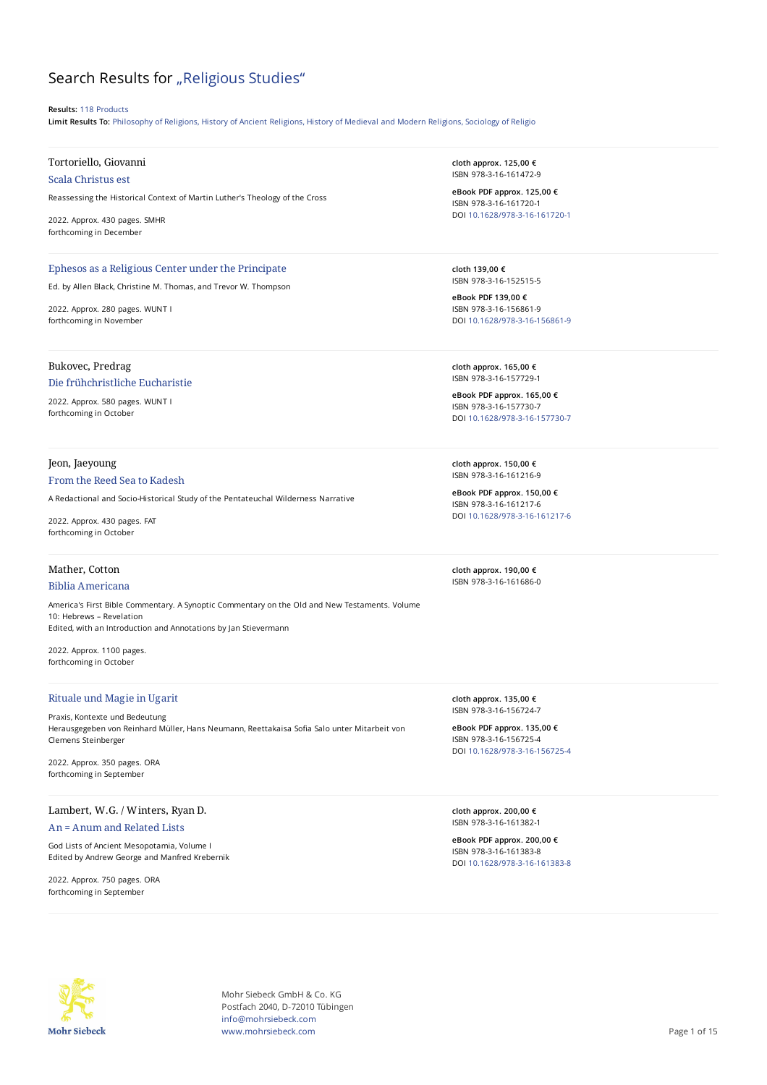# Search Results for "Religious Studies"

**Results:** 118 Products

**Limit Results To:** Philosophy of Religions, History of Ancient Religions, History of Medieval and Modern Religions, Sociology of Religio

# Tortoriello, Giovanni

Scala Christus est

Reassessing the Historical Context of Martin Luther's Theology of the Cross

2022. Approx. 430 pages. SMHR forthcoming in December

#### Ephesos as a Religious Center under the Principate

Ed. by Allen Black, Christine M. Thomas, and Trevor W. Thompson

2022. Approx. 280 pages. WUNT I forthcoming in November

# Bukovec, Predrag

#### Die frühchristliche Eucharistie

2022. Approx. 580 pages. WUNT I forthcoming in October

## Jeon, Jaeyoung

#### From the Reed Sea to Kadesh

A Redactional and Socio-Historical Study of the Pentateuchal Wilderness Narrative

2022. Approx. 430 pages. FAT forthcoming in October

### Mather, Cotton

#### Biblia Americana

America's First Bible Commentary. A Synoptic Commentary on the Old and New Testaments. Volume 10: Hebrews – Revelation Edited, with an Introduction and Annotations by Jan Stievermann

2022. Approx. 1100 pages. forthcoming in October

### Rituale und Magie in Ugarit

Praxis, Kontexte und Bedeutung Herausgegeben von Reinhard Müller, Hans Neumann, Reettakaisa Sofia Salo unter Mitarbeit von Clemens Steinberger

2022. Approx. 350 pages. ORA forthcoming in September

# Lambert, W.G. / Winters, Ryan D. An = Anum and Related Lists

God Lists of Ancient Mesopotamia, Volume I Edited by Andrew George and Manfred Krebernik

2022. Approx. 750 pages. ORA forthcoming in September

**cloth approx. 125,00 €** ISBN 978-3-16-161472-9

**eBook PDF approx. 125,00 €** ISBN 978-3-16-161720-1 DOI [10.1628/978-3-16-161720-1](https://doi.org/10.1628/978-3-16-161720-1)

**cloth 139,00 €** ISBN 978-3-16-152515-5

**eBook PDF 139,00 €** ISBN 978-3-16-156861-9 DOI [10.1628/978-3-16-156861-9](https://doi.org/10.1628/978-3-16-156861-9)

**cloth approx. 165,00 €** ISBN 978-3-16-157729-1

**eBook PDF approx. 165,00 €** ISBN 978-3-16-157730-7 DOI [10.1628/978-3-16-157730-7](https://doi.org/10.1628/978-3-16-157730-7)

**cloth approx. 150,00 €** ISBN 978-3-16-161216-9

**eBook PDF approx. 150,00 €** ISBN 978-3-16-161217-6 DOI [10.1628/978-3-16-161217-6](https://doi.org/10.1628/978-3-16-161217-6)

**cloth approx. 190,00 €** ISBN 978-3-16-161686-0

**cloth approx. 135,00 €** ISBN 978-3-16-156724-7

**eBook PDF approx. 135,00 €** ISBN 978-3-16-156725-4 DOI [10.1628/978-3-16-156725-4](https://doi.org/10.1628/978-3-16-156725-4)

**cloth approx. 200,00 €** ISBN 978-3-16-161382-1

**eBook PDF approx. 200,00 €** ISBN 978-3-16-161383-8 DOI [10.1628/978-3-16-161383-8](https://doi.org/10.1628/978-3-16-161383-8)



Mohr Siebeck GmbH & Co. KG Postfach 2040, D-72010 Tübingen info@mohrsiebeck.com www.mohrsiebeck.com **Page 1 of 15**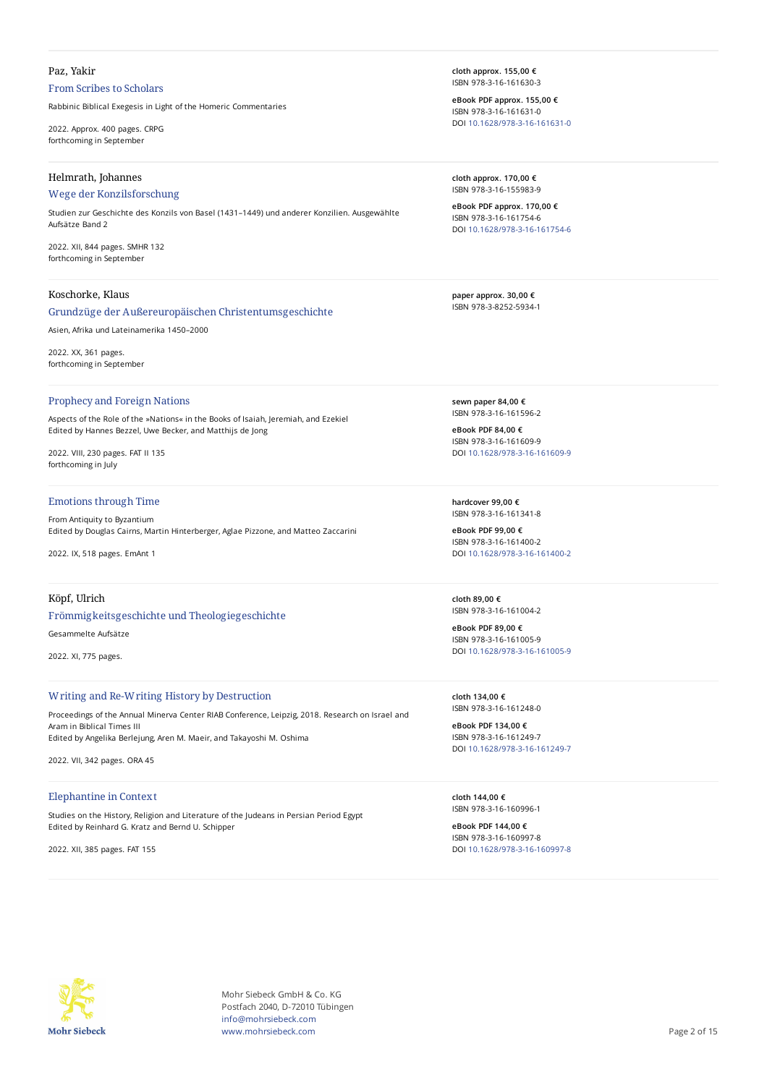# Paz, Yakir

# From Scribes to Scholars

Rabbinic Biblical Exegesis in Light of the Homeric Commentaries

2022. Approx. 400 pages. CRPG forthcoming in September

# Helmrath, Johannes

### Wege der Konzilsforschung

Studien zur Geschichte des Konzils von Basel (1431–1449) und anderer Konzilien. Ausgewählte Aufsätze Band 2

2022. XII, 844 pages. SMHR 132 forthcoming in September

#### Koschorke, Klaus

### Grundzüge der Außereuropäischen Christentumsgeschichte

Asien, Afrika und Lateinamerika 1450–2000

2022. XX, 361 pages. forthcoming in September

#### Prophecy and Foreign Nations

Aspects of the Role of the »Nations« in the Books of Isaiah, Jeremiah, and Ezekiel Edited by Hannes Bezzel, Uwe Becker, and Matthijs de Jong

2022. VIII, 230 pages. FAT II 135 forthcoming in July

# Emotions through Time

From Antiquity to Byzantium Edited by Douglas Cairns, Martin Hinterberger, Aglae Pizzone, and Matteo Zaccarini

2022. IX, 518 pages. EmAnt 1

# Köpf, Ulrich

# Frömmigkeitsgeschichte und Theologiegeschichte

Gesammelte Aufsätze

2022. XI, 775 pages.

#### Writing and Re-Writing History by Destruction

Proceedings of the Annual Minerva Center RIAB Conference, Leipzig, 2018. Research on Israel and Aram in Biblical Times III Edited by Angelika Berlejung, Aren M. Maeir, and Takayoshi M. Oshima

2022. VII, 342 pages. ORA 45

#### Elephantine in Context

Studies on the History, Religion and Literature of the Judeans in Persian Period Egypt Edited by Reinhard G. Kratz and Bernd U. Schipper

2022. XII, 385 pages. FAT 155

**cloth approx. 155,00 €** ISBN 978-3-16-161630-3

**eBook PDF approx. 155,00 €** ISBN 978-3-16-161631-0 DOI [10.1628/978-3-16-161631-0](https://doi.org/10.1628/978-3-16-161631-0)

**cloth approx. 170,00 €** ISBN 978-3-16-155983-9

**eBook PDF approx. 170,00 €** ISBN 978-3-16-161754-6 DOI [10.1628/978-3-16-161754-6](https://doi.org/10.1628/978-3-16-161754-6)

**paper approx. 30,00 €** ISBN 978-3-8252-5934-1

**sewn paper 84,00 €** ISBN 978-3-16-161596-2

**eBook PDF 84,00 €** ISBN 978-3-16-161609-9 DOI [10.1628/978-3-16-161609-9](https://doi.org/10.1628/978-3-16-161609-9)

**hardcover 99,00 €** ISBN 978-3-16-161341-8

**eBook PDF 99,00 €** ISBN 978-3-16-161400-2 DOI [10.1628/978-3-16-161400-2](https://doi.org/10.1628/978-3-16-161400-2)

**cloth 89,00 €** ISBN 978-3-16-161004-2

**eBook PDF 89,00 €** ISBN 978-3-16-161005-9 DOI [10.1628/978-3-16-161005-9](https://doi.org/10.1628/978-3-16-161005-9)

**cloth 134,00 €** ISBN 978-3-16-161248-0

**eBook PDF 134,00 €** ISBN 978-3-16-161249-7 DOI [10.1628/978-3-16-161249-7](https://doi.org/10.1628/978-3-16-161249-7)

**cloth 144,00 €** ISBN 978-3-16-160996-1

**eBook PDF 144,00 €** ISBN 978-3-16-160997-8 DOI [10.1628/978-3-16-160997-8](https://doi.org/10.1628/978-3-16-160997-8)



Mohr Siebeck GmbH & Co. KG Postfach 2040, D-72010 Tübingen info@mohrsiebeck.com www.mohrsiebeck.com **Page 2 of 15**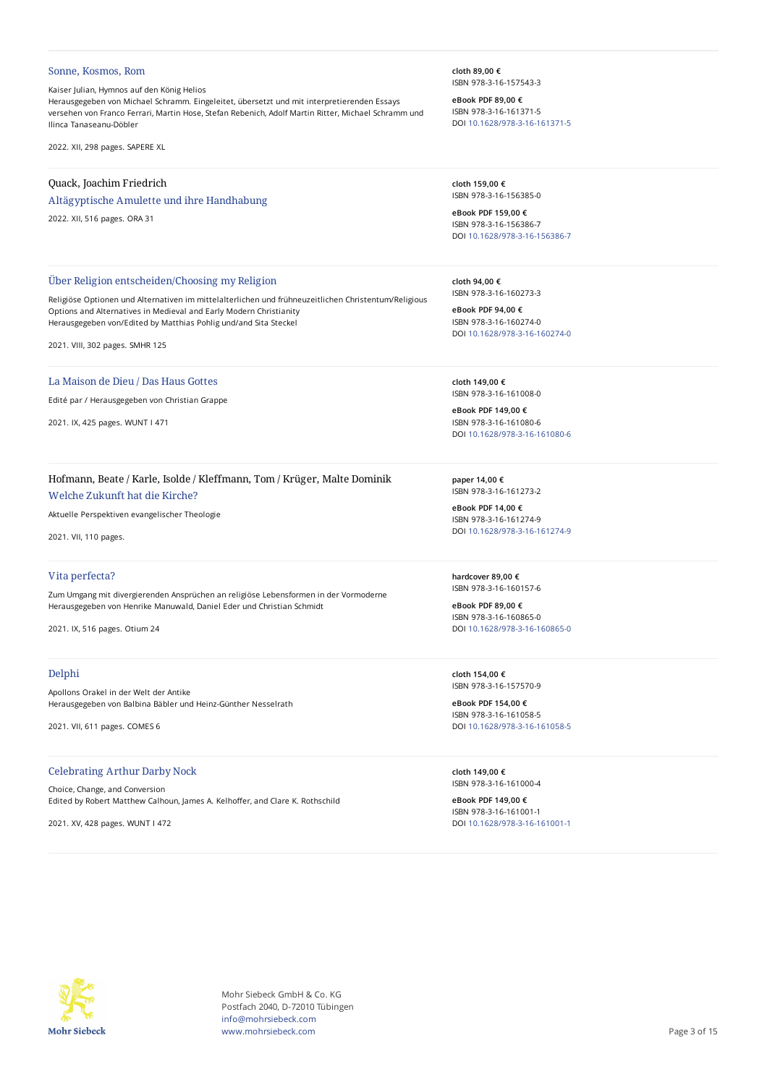#### Sonne, Kosmos, Rom

Kaiser Julian, Hymnos auf den König Helios Herausgegeben von Michael Schramm. Eingeleitet, übersetzt und mit interpretierenden Essays versehen von Franco Ferrari, Martin Hose, Stefan Rebenich, Adolf Martin Ritter, Michael Schramm und Ilinca Tanaseanu-Döbler

Religiöse Optionen und Alternativen im mittelalterlichen und frühneuzeitlichen Christentum/Religious

2022. XII, 298 pages. SAPERE XL

## Quack, Joachim Friedrich

Altägyptische Amulette und ihre Handhabung

Über Religion entscheiden/Choosing my Religion

Options and Alternatives in Medieval and Early Modern Christianity Herausgegeben von/Edited by Matthias Pohlig und/and Sita Steckel

2022. XII, 516 pages. ORA 31

**cloth 89,00 €** ISBN 978-3-16-157543-3

**eBook PDF 89,00 €** ISBN 978-3-16-161371-5 DOI [10.1628/978-3-16-161371-5](https://doi.org/10.1628/978-3-16-161371-5)

**cloth 159,00 €** ISBN 978-3-16-156385-0

**eBook PDF 159,00 €** ISBN 978-3-16-156386-7 DOI [10.1628/978-3-16-156386-7](https://doi.org/10.1628/978-3-16-156386-7)

**cloth 94,00 €** ISBN 978-3-16-160273-3

**eBook PDF 94,00 €** ISBN 978-3-16-160274-0 DOI [10.1628/978-3-16-160274-0](https://doi.org/10.1628/978-3-16-160274-0)

**cloth 149,00 €** ISBN 978-3-16-161008-0

**eBook PDF 149,00 €** ISBN 978-3-16-161080-6 DOI [10.1628/978-3-16-161080-6](https://doi.org/10.1628/978-3-16-161080-6)

**paper 14,00 €** ISBN 978-3-16-161273-2

**eBook PDF 14,00 €** ISBN 978-3-16-161274-9 DOI [10.1628/978-3-16-161274-9](https://doi.org/10.1628/978-3-16-161274-9)

**hardcover 89,00 €** ISBN 978-3-16-160157-6

**eBook PDF 89,00 €** ISBN 978-3-16-160865-0 DOI [10.1628/978-3-16-160865-0](https://doi.org/10.1628/978-3-16-160865-0)

**cloth 154,00 €** ISBN 978-3-16-157570-9

**eBook PDF 154,00 €** ISBN 978-3-16-161058-5 DOI [10.1628/978-3-16-161058-5](https://doi.org/10.1628/978-3-16-161058-5)

**cloth 149,00 €** ISBN 978-3-16-161000-4

**eBook PDF 149,00 €** ISBN 978-3-16-161001-1 DOI [10.1628/978-3-16-161001-1](https://doi.org/10.1628/978-3-16-161001-1)



La Maison de Dieu / Das Haus Gottes

2021. IX, 425 pages. WUNT I 471

2021. VIII, 302 pages. SMHR 125

### Hofmann, Beate / Karle, Isolde / Kleffmann, Tom / Krüger, Malte Dominik

Welche Zukunft hat die Kirche?

Aktuelle Perspektiven evangelischer Theologie

2021. VII, 110 pages.

### Vita perfecta?

Zum Umgang mit divergierenden Ansprüchen an religiöse Lebensformen in der Vormoderne Herausgegeben von Henrike Manuwald, Daniel Eder und Christian Schmidt

2021. IX, 516 pages. Otium 24

### Delphi

Apollons Orakel in der Welt der Antike Herausgegeben von Balbina Bäbler und Heinz-Günther Nesselrath

2021. VII, 611 pages. COMES 6

Celebrating Arthur Darby Nock

Choice, Change, and Conversion Edited by Robert Matthew Calhoun, James A. Kelhoffer, and Clare K. Rothschild

2021. XV, 428 pages. WUNT I 472

**Mohr Siebeck** 

Mohr Siebeck GmbH & Co. KG Postfach 2040, D-72010 Tübingen info@mohrsiebeck.com www.mohrsiebeck.com **Page 3 of 15**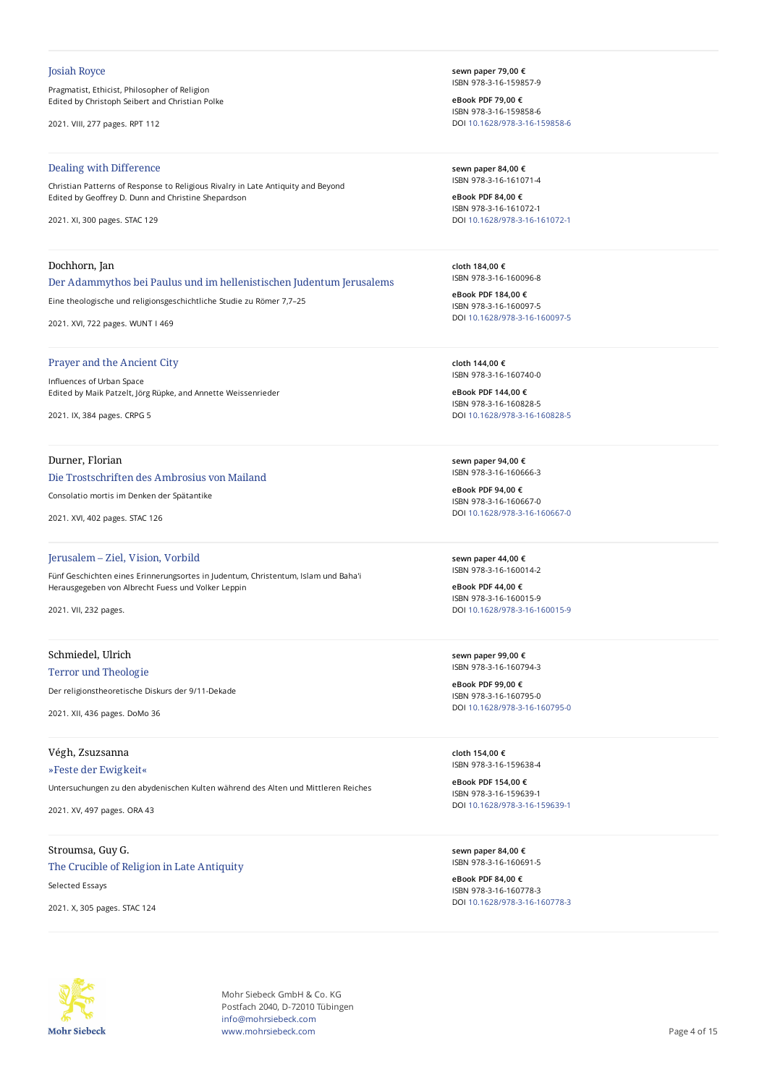#### Josiah Royce

Pragmatist, Ethicist, Philosopher of Religion Edited by Christoph Seibert and Christian Polke

2021. VIII, 277 pages. RPT 112

# Dealing with Difference

Christian Patterns of Response to Religious Rivalry in Late Antiquity and Beyond Edited by Geoffrey D. Dunn and Christine Shepardson

2021. XI, 300 pages. STAC 129

## Dochhorn, Jan

Der Adammythos bei Paulus und im hellenistischen Judentum Jerusalems

Eine theologische und religionsgeschichtliche Studie zu Römer 7,7–25

2021. XVI, 722 pages. WUNT I 469

# Prayer and the Ancient City

Influences of Urban Space Edited by Maik Patzelt, Jörg Rüpke, and Annette Weissenrieder

2021. IX, 384 pages. CRPG 5

# Durner, Florian

#### Die Trostschriften des Ambrosius von Mailand

Consolatio mortis im Denken der Spätantike

2021. XVI, 402 pages. STAC 126

#### Jerusalem – Ziel, Vision, Vorbild

Fünf Geschichten eines Erinnerungsortes in Judentum, Christentum, Islam und Baha'i Herausgegeben von Albrecht Fuess und Volker Leppin

2021. VII, 232 pages.

# Schmiedel, Ulrich

Terror und Theologie

Der religionstheoretische Diskurs der 9/11-Dekade

2021. XII, 436 pages. DoMo 36

### Végh, Zsuzsanna

»Feste der Ewigkeit«

Untersuchungen zu den abydenischen Kulten während des Alten und Mittleren Reiches

2021. XV, 497 pages. ORA 43

# Stroumsa, Guy G.

The Crucible of Religion in Late Antiquity Selected Essays

2021. X, 305 pages. STAC 124

**sewn paper 79,00 €** ISBN 978-3-16-159857-9

**eBook PDF 79,00 €** ISBN 978-3-16-159858-6 DOI [10.1628/978-3-16-159858-6](https://doi.org/10.1628/978-3-16-159858-6)

**sewn paper 84,00 €** ISBN 978-3-16-161071-4

**eBook PDF 84,00 €** ISBN 978-3-16-161072-1 DOI [10.1628/978-3-16-161072-1](https://doi.org/10.1628/978-3-16-161072-1)

**cloth 184,00 €** ISBN 978-3-16-160096-8

**eBook PDF 184,00 €** ISBN 978-3-16-160097-5 DOI [10.1628/978-3-16-160097-5](https://doi.org/10.1628/978-3-16-160097-5)

**cloth 144,00 €** ISBN 978-3-16-160740-0

**eBook PDF 144,00 €** ISBN 978-3-16-160828-5 DOI [10.1628/978-3-16-160828-5](https://doi.org/10.1628/978-3-16-160828-5)

**sewn paper 94,00 €** ISBN 978-3-16-160666-3

**eBook PDF 94,00 €** ISBN 978-3-16-160667-0 DOI [10.1628/978-3-16-160667-0](https://doi.org/10.1628/978-3-16-160667-0)

**sewn paper 44,00 €** ISBN 978-3-16-160014-2

**eBook PDF 44,00 €** ISBN 978-3-16-160015-9 DOI [10.1628/978-3-16-160015-9](https://doi.org/10.1628/978-3-16-160015-9)

**sewn paper 99,00 €** ISBN 978-3-16-160794-3

**eBook PDF 99,00 €** ISBN 978-3-16-160795-0 DOI [10.1628/978-3-16-160795-0](https://doi.org/10.1628/978-3-16-160795-0)

**cloth 154,00 €** ISBN 978-3-16-159638-4

**eBook PDF 154,00 €** ISBN 978-3-16-159639-1 DOI [10.1628/978-3-16-159639-1](https://doi.org/10.1628/978-3-16-159639-1)

**sewn paper 84,00 €** ISBN 978-3-16-160691-5

**eBook PDF 84,00 €** ISBN 978-3-16-160778-3 DOI [10.1628/978-3-16-160778-3](https://doi.org/10.1628/978-3-16-160778-3)



Mohr Siebeck GmbH & Co. KG Postfach 2040, D-72010 Tübingen info@mohrsiebeck.com www.mohrsiebeck.com **Page 4 of 15**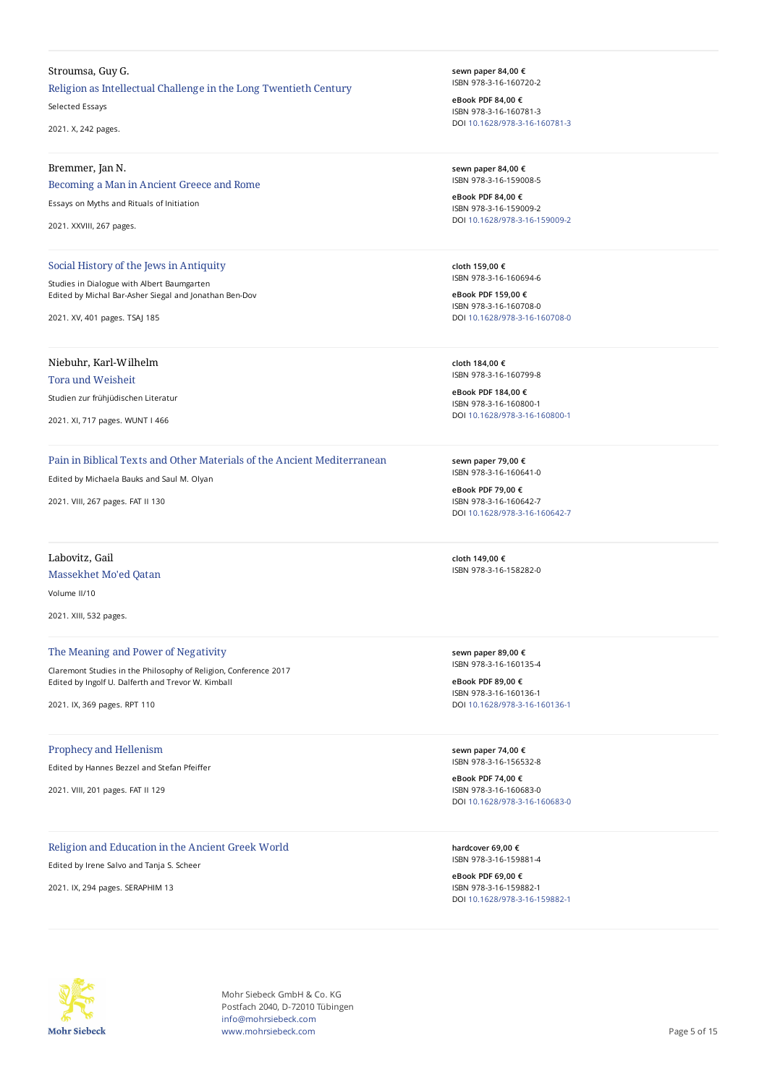#### Stroumsa, Guy G.

Religion as Intellectual Challenge in the Long Twentieth Century

Selected Essays

2021. X, 242 pages.

#### Bremmer, Jan N.

## Becoming a Man in Ancient Greece and Rome

Essays on Myths and Rituals of Initiation

2021. XXVIII, 267 pages.

#### Social History of the Jews in Antiquity

Studies in Dialogue with Albert Baumgarten Edited by Michal Bar-Asher Siegal and Jonathan Ben-Dov

2021. XV, 401 pages. TSAJ 185

# Niebuhr, Karl-Wilhelm

Tora und Weisheit

Studien zur frühjüdischen Literatur

2021. XI, 717 pages. WUNT I 466

# Pain in Biblical Texts and Other Materials of the Ancient Mediterranean

Edited by Michaela Bauks and Saul M. Olyan

2021. VIII, 267 pages. FAT II 130

# Labovitz, Gail Massekhet Mo'ed Qatan Volume II/10

2021. XIII, 532 pages.

# The Meaning and Power of Negativity

Claremont Studies in the Philosophy of Religion, Conference 2017 Edited by Ingolf U. Dalferth and Trevor W. Kimball

2021. IX, 369 pages. RPT 110

#### Prophecy and Hellenism

Edited by Hannes Bezzel and Stefan Pfeiffer

2021. VIII, 201 pages. FAT II 129

### Religion and Education in the Ancient Greek World

Edited by Irene Salvo and Tanja S. Scheer

2021. IX, 294 pages. SERAPHIM 13

**sewn paper 84,00 €** ISBN 978-3-16-160720-2

**eBook PDF 84,00 €** ISBN 978-3-16-160781-3 DOI [10.1628/978-3-16-160781-3](https://doi.org/10.1628/978-3-16-160781-3)

**sewn paper 84,00 €** ISBN 978-3-16-159008-5

**eBook PDF 84,00 €** ISBN 978-3-16-159009-2 DOI [10.1628/978-3-16-159009-2](https://doi.org/10.1628/978-3-16-159009-2)

**cloth 159,00 €** ISBN 978-3-16-160694-6

**eBook PDF 159,00 €** ISBN 978-3-16-160708-0 DOI [10.1628/978-3-16-160708-0](https://doi.org/10.1628/978-3-16-160708-0)

**cloth 184,00 €** ISBN 978-3-16-160799-8

**eBook PDF 184,00 €** ISBN 978-3-16-160800-1 DOI [10.1628/978-3-16-160800-1](https://doi.org/10.1628/978-3-16-160800-1)

**sewn paper 79,00 €** ISBN 978-3-16-160641-0

**eBook PDF 79,00 €** ISBN 978-3-16-160642-7 DOI [10.1628/978-3-16-160642-7](https://doi.org/10.1628/978-3-16-160642-7)

**cloth 149,00 €** ISBN 978-3-16-158282-0

**sewn paper 89,00 €** ISBN 978-3-16-160135-4

**eBook PDF 89,00 €** ISBN 978-3-16-160136-1 DOI [10.1628/978-3-16-160136-1](https://doi.org/10.1628/978-3-16-160136-1)

**sewn paper 74,00 €** ISBN 978-3-16-156532-8

**eBook PDF 74,00 €** ISBN 978-3-16-160683-0 DOI [10.1628/978-3-16-160683-0](https://doi.org/10.1628/978-3-16-160683-0)

**hardcover 69,00 €** ISBN 978-3-16-159881-4

**eBook PDF 69,00 €** ISBN 978-3-16-159882-1 DOI [10.1628/978-3-16-159882-1](https://doi.org/10.1628/978-3-16-159882-1)



Mohr Siebeck GmbH & Co. KG Postfach 2040, D-72010 Tübingen info@mohrsiebeck.com www.mohrsiebeck.com **Page 5 of 15**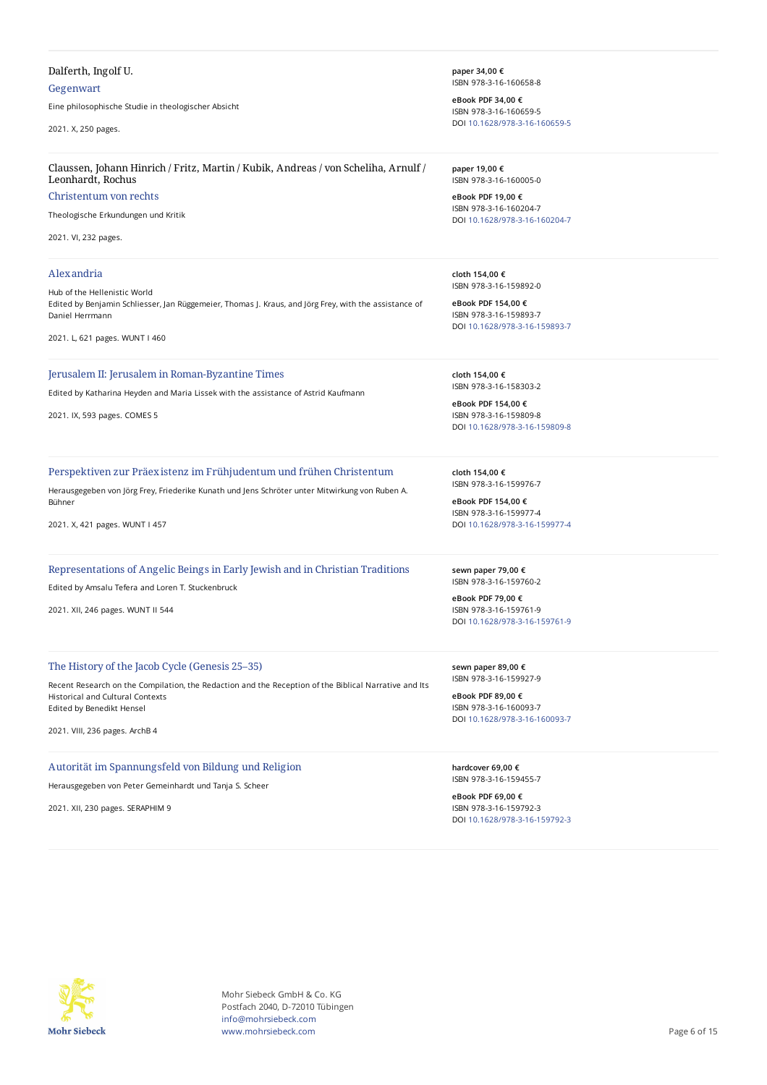# Dalferth, Ingolf U.

### Gegenwart

Eine philosophische Studie in theologischer Absicht

2021. X, 250 pages.

#### Claussen, Johann Hinrich / Fritz, Martin / Kubik, Andreas / von Scheliha, Arnulf / Leonhardt, Rochus

# Christentum von rechts

Theologische Erkundungen und Kritik

2021. VI, 232 pages.

#### Alexandria

Hub of the Hellenistic World Edited by Benjamin Schliesser, Jan Rüggemeier, Thomas J. Kraus, and Jörg Frey, with the assistance of Daniel Herrmann

2021. L, 621 pages. WUNT I 460

### Jerusalem II: Jerusalem in Roman-Byzantine Times

Edited by Katharina Heyden and Maria Lissek with the assistance of Astrid Kaufmann

2021. IX, 593 pages. COMES 5

Perspektiven zur Präexistenz im Frühjudentum und frühen Christentum

Herausgegeben von Jörg Frey, Friederike Kunath und Jens Schröter unter Mitwirkung von Ruben A. Bühner

2021. X, 421 pages. WUNT I 457

Representations of Angelic Beings in Early Jewish and in Christian Traditions

Edited by Amsalu Tefera and Loren T. Stuckenbruck

2021. XII, 246 pages. WUNT II 544

### The History of the Jacob Cycle (Genesis 25–35)

Recent Research on the Compilation, the Redaction and the Reception of the Biblical Narrative and Its Historical and Cultural Contexts Edited by Benedikt Hensel

2021. VIII, 236 pages. ArchB 4

# Autorität im Spannungsfeld von Bildung und Religion

Herausgegeben von Peter Gemeinhardt und Tanja S. Scheer

2021. XII, 230 pages. SERAPHIM 9

**paper 34,00 €** ISBN 978-3-16-160658-8

**eBook PDF 34,00 €** ISBN 978-3-16-160659-5 DOI [10.1628/978-3-16-160659-5](https://doi.org/10.1628/978-3-16-160659-5)

**paper 19,00 €** ISBN 978-3-16-160005-0

**eBook PDF 19,00 €** ISBN 978-3-16-160204-7 DOI [10.1628/978-3-16-160204-7](https://doi.org/10.1628/978-3-16-160204-7)

**cloth 154,00 €** ISBN 978-3-16-159892-0

**eBook PDF 154,00 €** ISBN 978-3-16-159893-7 DOI [10.1628/978-3-16-159893-7](https://doi.org/10.1628/978-3-16-159893-7)

**cloth 154,00 €** ISBN 978-3-16-158303-2

**eBook PDF 154,00 €** ISBN 978-3-16-159809-8 DOI [10.1628/978-3-16-159809-8](https://doi.org/10.1628/978-3-16-159809-8)

**cloth 154,00 €** ISBN 978-3-16-159976-7

**eBook PDF 154,00 €** ISBN 978-3-16-159977-4 DOI [10.1628/978-3-16-159977-4](https://doi.org/10.1628/978-3-16-159977-4)

**sewn paper 79,00 €** ISBN 978-3-16-159760-2

**eBook PDF 79,00 €** ISBN 978-3-16-159761-9 DOI [10.1628/978-3-16-159761-9](https://doi.org/10.1628/978-3-16-159761-9)

**sewn paper 89,00 €** ISBN 978-3-16-159927-9

**eBook PDF 89,00 €** ISBN 978-3-16-160093-7 DOI [10.1628/978-3-16-160093-7](https://doi.org/10.1628/978-3-16-160093-7)

**hardcover 69,00 €** ISBN 978-3-16-159455-7

**eBook PDF 69,00 €** ISBN 978-3-16-159792-3 DOI [10.1628/978-3-16-159792-3](https://doi.org/10.1628/978-3-16-159792-3)



Mohr Siebeck GmbH & Co. KG Postfach 2040, D-72010 Tübingen info@mohrsiebeck.com www.mohrsiebeck.com **Page 6 of 15**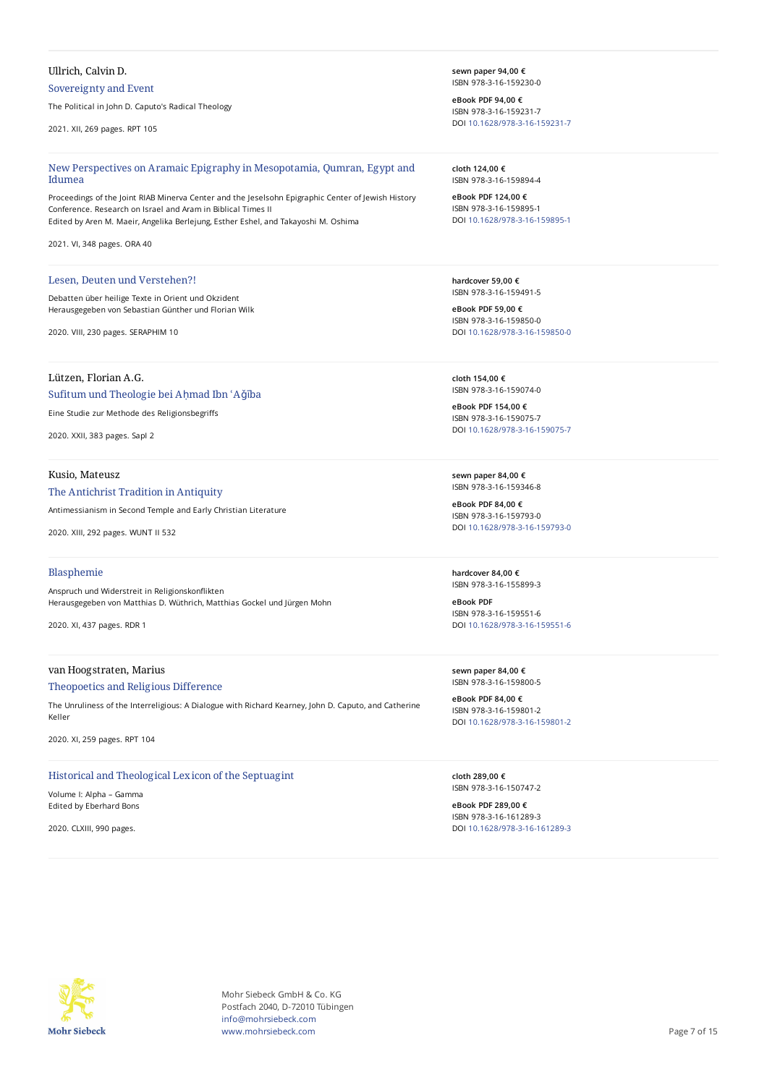# Ullrich, Calvin D.

# Sovereignty and Event

The Political in John D. Caputo's Radical Theology

2021. XII, 269 pages. RPT 105

#### New Perspectives on Aramaic Epigraphy in Mesopotamia, Qumran, Egypt and Idumea

Proceedings of the Joint RIAB Minerva Center and the Jeselsohn Epigraphic Center of Jewish History Conference. Research on Israel and Aram in Biblical Times II Edited by Aren M. Maeir, Angelika Berlejung, Esther Eshel, and Takayoshi M. Oshima

2021. VI, 348 pages. ORA 40

#### Lesen, Deuten und Verstehen?!

Debatten über heilige Texte in Orient und Okzident Herausgegeben von Sebastian Günther und Florian Wilk

2020. VIII, 230 pages. SERAPHIM 10

# Lützen, Florian A.G.

## Sufitum und Theologie bei Aḥmad Ibn ʿAǧība

Eine Studie zur Methode des Religionsbegriffs

2020. XXII, 383 pages. SapI 2

#### Kusio, Mateusz

### The Antichrist Tradition in Antiquity

Antimessianism in Second Temple and Early Christian Literature

2020. XIII, 292 pages. WUNT II 532

## Blasphemie

Anspruch und Widerstreit in Religionskonflikten Herausgegeben von Matthias D. Wüthrich, Matthias Gockel und Jürgen Mohn

2020. XI, 437 pages. RDR 1

# van Hoogstraten, Marius

#### Theopoetics and Religious Difference

The Unruliness of the Interreligious: A Dialogue with Richard Kearney, John D. Caputo, and Catherine Keller

2020. XI, 259 pages. RPT 104

# Historical and Theological Lexicon of the Septuagint

Volume I: Alpha – Gamma Edited by Eberhard Bons

2020. CLXIII, 990 pages.

**sewn paper 94,00 €** ISBN 978-3-16-159230-0

**eBook PDF 94,00 €** ISBN 978-3-16-159231-7 DOI [10.1628/978-3-16-159231-7](https://doi.org/10.1628/978-3-16-159231-7)

**cloth 124,00 €** ISBN 978-3-16-159894-4

**eBook PDF 124,00 €** ISBN 978-3-16-159895-1 DOI [10.1628/978-3-16-159895-1](https://doi.org/10.1628/978-3-16-159895-1)

**hardcover 59,00 €** ISBN 978-3-16-159491-5

**eBook PDF 59,00 €** ISBN 978-3-16-159850-0 DOI [10.1628/978-3-16-159850-0](https://doi.org/10.1628/978-3-16-159850-0)

**cloth 154,00 €** ISBN 978-3-16-159074-0

**eBook PDF 154,00 €** ISBN 978-3-16-159075-7 DOI [10.1628/978-3-16-159075-7](https://doi.org/10.1628/978-3-16-159075-7)

**sewn paper 84,00 €** ISBN 978-3-16-159346-8

**eBook PDF 84,00 €** ISBN 978-3-16-159793-0 DOI [10.1628/978-3-16-159793-0](https://doi.org/10.1628/978-3-16-159793-0)

**hardcover 84,00 €** ISBN 978-3-16-155899-3

**eBook PDF** ISBN 978-3-16-159551-6 DOI [10.1628/978-3-16-159551-6](https://doi.org/10.1628/978-3-16-159551-6)

**sewn paper 84,00 €** ISBN 978-3-16-159800-5

**eBook PDF 84,00 €** ISBN 978-3-16-159801-2 DOI [10.1628/978-3-16-159801-2](https://doi.org/10.1628/978-3-16-159801-2)

**cloth 289,00 €** ISBN 978-3-16-150747-2

**eBook PDF 289,00 €** ISBN 978-3-16-161289-3 DOI [10.1628/978-3-16-161289-3](https://doi.org/10.1628/978-3-16-161289-3)



Mohr Siebeck GmbH & Co. KG Postfach 2040, D-72010 Tübingen info@mohrsiebeck.com www.mohrsiebeck.com **Page 7 of 15**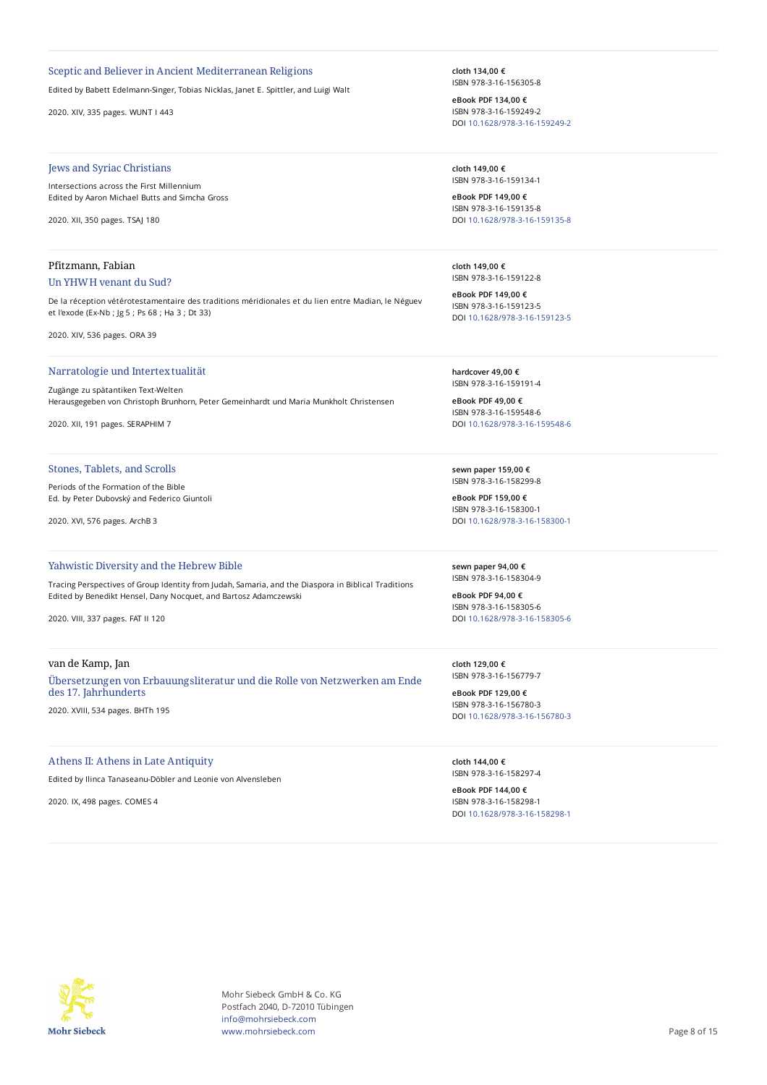### Sceptic and Believer in Ancient Mediterranean Religions

Edited by Babett Edelmann-Singer, Tobias Nicklas, Janet E. Spittler, and Luigi Walt

2020. XIV, 335 pages. WUNT I 443

# Jews and Syriac Christians

Intersections across the First Millennium Edited by Aaron Michael Butts and Simcha Gross

2020. XII, 350 pages. TSAJ 180

# Pfitzmann, Fabian Un YHWH venant du Sud?

De la réception vétérotestamentaire des traditions méridionales et du lien entre Madian, le Néguev et l'exode (Ex-Nb ; Jg 5 ; Ps 68 ; Ha 3 ; Dt 33)

2020. XIV, 536 pages. ORA 39

#### Narratologie und Intertextualität

Zugänge zu spätantiken Text-Welten Herausgegeben von Christoph Brunhorn, Peter Gemeinhardt und Maria Munkholt Christensen

2020. XII, 191 pages. SERAPHIM 7

#### Stones, Tablets, and Scrolls

Periods of the Formation of the Bible Ed. by Peter Dubovský and Federico Giuntoli

2020. XVI, 576 pages. ArchB 3

#### Yahwistic Diversity and the Hebrew Bible

Tracing Perspectives of Group Identity from Judah, Samaria, and the Diaspora in Biblical Traditions Edited by Benedikt Hensel, Dany Nocquet, and Bartosz Adamczewski

2020. VIII, 337 pages. FAT II 120

#### van de Kamp, Jan

Übersetzungen von Erbauungsliteratur und die Rolle von Netzwerken am Ende des 17. Jahrhunderts

2020. XVIII, 534 pages. BHTh 195

#### Athens II: Athens in Late Antiquity

Edited by Ilinca Tanaseanu-Döbler and Leonie von Alvensleben

2020. IX, 498 pages. COMES 4

**cloth 134,00 €** ISBN 978-3-16-156305-8

**eBook PDF 134,00 €** ISBN 978-3-16-159249-2 DOI [10.1628/978-3-16-159249-2](https://doi.org/10.1628/978-3-16-159249-2)

**cloth 149,00 €** ISBN 978-3-16-159134-1

**eBook PDF 149,00 €** ISBN 978-3-16-159135-8 DOI [10.1628/978-3-16-159135-8](https://doi.org/10.1628/978-3-16-159135-8)

**cloth 149,00 €** ISBN 978-3-16-159122-8

**eBook PDF 149,00 €** ISBN 978-3-16-159123-5 DOI [10.1628/978-3-16-159123-5](https://doi.org/10.1628/978-3-16-159123-5)

**hardcover 49,00 €** ISBN 978-3-16-159191-4

**eBook PDF 49,00 €** ISBN 978-3-16-159548-6 DOI [10.1628/978-3-16-159548-6](https://doi.org/10.1628/978-3-16-159548-6)

**sewn paper 159,00 €** ISBN 978-3-16-158299-8

**eBook PDF 159,00 €** ISBN 978-3-16-158300-1 DOI [10.1628/978-3-16-158300-1](https://doi.org/10.1628/978-3-16-158300-1)

**sewn paper 94,00 €** ISBN 978-3-16-158304-9

**eBook PDF 94,00 €** ISBN 978-3-16-158305-6 DOI [10.1628/978-3-16-158305-6](https://doi.org/10.1628/978-3-16-158305-6)

**cloth 129,00 €** ISBN 978-3-16-156779-7

**eBook PDF 129,00 €** ISBN 978-3-16-156780-3 DOI [10.1628/978-3-16-156780-3](https://doi.org/10.1628/978-3-16-156780-3)

**cloth 144,00 €** ISBN 978-3-16-158297-4

**eBook PDF 144,00 €** ISBN 978-3-16-158298-1 DOI [10.1628/978-3-16-158298-1](https://doi.org/10.1628/978-3-16-158298-1)



Mohr Siebeck GmbH & Co. KG Postfach 2040, D-72010 Tübingen info@mohrsiebeck.com www.mohrsiebeck.com **Page 8 of 15**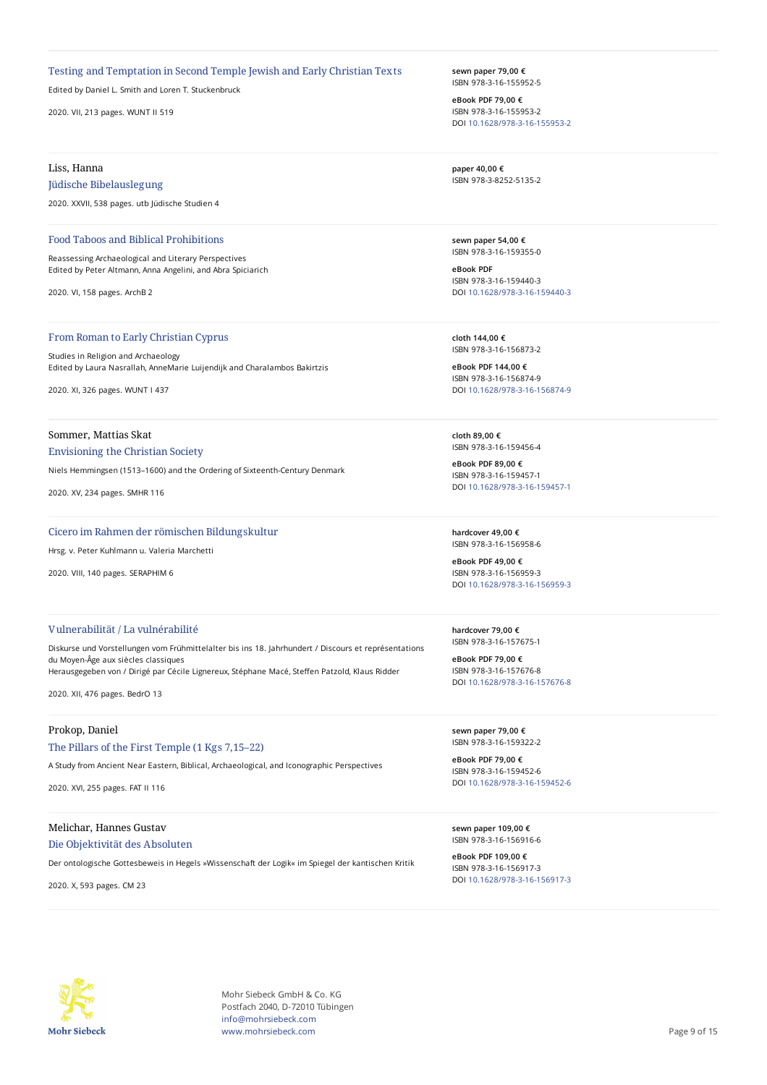#### Testing and Temptation in Second Temple Jewish and Early Christian Texts

Edited by Daniel L. Smith and Loren T. Stuckenbruck

2020. VII, 213 pages. WUNT II 519

### Liss, Hanna

### Jüdische Bibelauslegung

2020. XXVII, 538 pages. utb Jüdische Studien 4

#### Food Taboos and Biblical Prohibitions

Reassessing Archaeological and Literary Perspectives Edited by Peter Altmann, Anna Angelini, and Abra Spiciarich

2020. VI, 158 pages. ArchB 2

# From Roman to Early Christian Cyprus

Studies in Religion and Archaeology Edited by Laura Nasrallah, AnneMarie Luijendijk and Charalambos Bakirtzis

2020. XI, 326 pages. WUNT I 437

# Sommer, Mattias Skat

### Envisioning the Christian Society

Niels Hemmingsen (1513–1600) and the Ordering of Sixteenth-Century Denmark

2020. XV, 234 pages. SMHR 116

#### Cicero im Rahmen der römischen Bildungskultur

Hrsg. v. Peter Kuhlmann u. Valeria Marchetti

2020. VIII, 140 pages. SERAPHIM 6

# Vulnerabilität / La vulnérabilité

Diskurse und Vorstellungen vom Frühmittelalter bis ins 18. Jahrhundert / Discours et représentations du Moyen-Âge aux siècles classiques Herausgegeben von / Dirigé par Cécile Lignereux, Stéphane Macé, Steffen Patzold, Klaus Ridder

2020. XII, 476 pages. BedrO 13

# Prokop, Daniel

#### The Pillars of the First Temple (1 Kgs 7,15–22)

A Study from Ancient Near Eastern, Biblical, Archaeological, and Iconographic Perspectives

2020. XVI, 255 pages. FAT II 116

# Melichar, Hannes Gustav

#### Die Objektivität des Absoluten

Der ontologische Gottesbeweis in Hegels »Wissenschaft der Logik« im Spiegel der kantischen Kritik

2020. X, 593 pages. CM 23

**sewn paper 79,00 €** ISBN 978-3-16-155952-5

**eBook PDF 79,00 €** ISBN 978-3-16-155953-2 DOI [10.1628/978-3-16-155953-2](https://doi.org/10.1628/978-3-16-155953-2)

**paper 40,00 €** ISBN 978-3-8252-5135-2

**sewn paper 54,00 €** ISBN 978-3-16-159355-0

**eBook PDF** ISBN 978-3-16-159440-3 DOI [10.1628/978-3-16-159440-3](https://doi.org/10.1628/978-3-16-159440-3)

**cloth 144,00 €** ISBN 978-3-16-156873-2

**eBook PDF 144,00 €** ISBN 978-3-16-156874-9 DOI [10.1628/978-3-16-156874-9](https://doi.org/10.1628/978-3-16-156874-9)

**cloth 89,00 €** ISBN 978-3-16-159456-4

**eBook PDF 89,00 €** ISBN 978-3-16-159457-1 DOI [10.1628/978-3-16-159457-1](https://doi.org/10.1628/978-3-16-159457-1)

**hardcover 49,00 €** ISBN 978-3-16-156958-6

**eBook PDF 49,00 €** ISBN 978-3-16-156959-3 DOI [10.1628/978-3-16-156959-3](https://doi.org/10.1628/978-3-16-156959-3)

**hardcover 79,00 €** ISBN 978-3-16-157675-1

**eBook PDF 79,00 €** ISBN 978-3-16-157676-8 DOI [10.1628/978-3-16-157676-8](https://doi.org/10.1628/978-3-16-157676-8)

**sewn paper 79,00 €** ISBN 978-3-16-159322-2

**eBook PDF 79,00 €** ISBN 978-3-16-159452-6 DOI [10.1628/978-3-16-159452-6](https://doi.org/10.1628/978-3-16-159452-6)

**sewn paper 109,00 €** ISBN 978-3-16-156916-6

**eBook PDF 109,00 €** ISBN 978-3-16-156917-3 DOI [10.1628/978-3-16-156917-3](https://doi.org/10.1628/978-3-16-156917-3)



Mohr Siebeck GmbH & Co. KG Postfach 2040, D-72010 Tübingen info@mohrsiebeck.com www.mohrsiebeck.com **Page 9 of 15**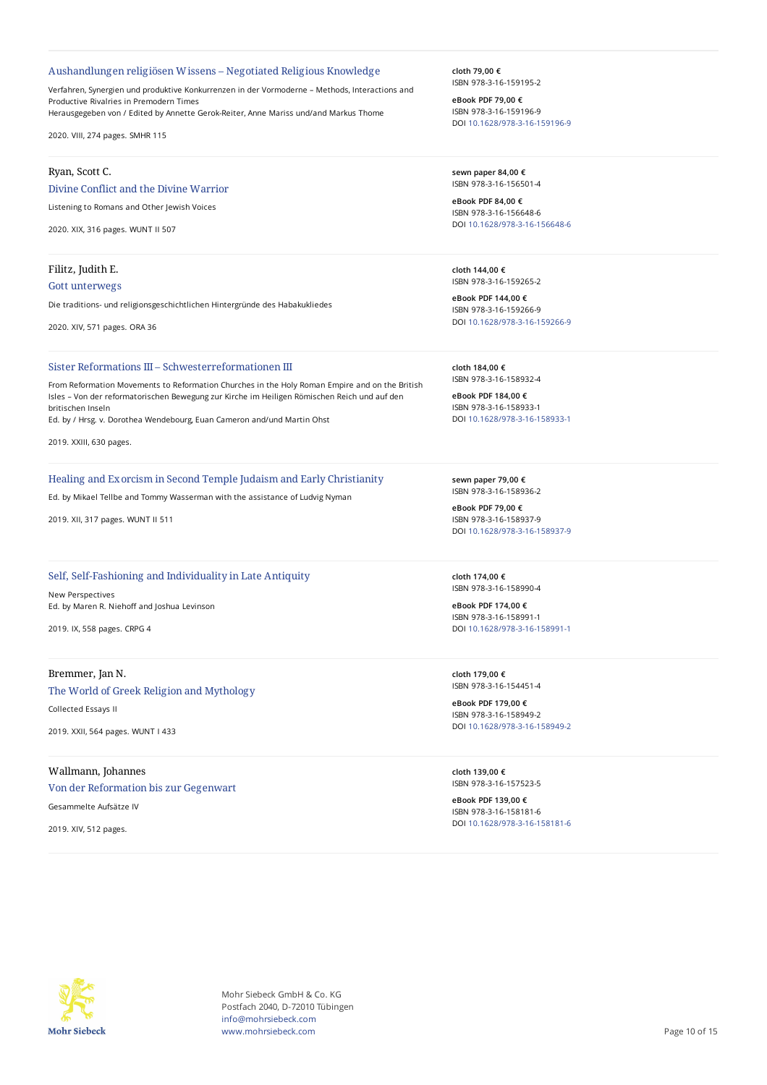#### Aushandlungen religiösen Wissens – Negotiated Religious Knowledge

Verfahren, Synergien und produktive Konkurrenzen in der Vormoderne – Methods, Interactions and Productive Rivalries in Premodern Times Herausgegeben von / Edited by Annette Gerok-Reiter, Anne Mariss und/and Markus Thome

2020. VIII, 274 pages. SMHR 115

#### Ryan, Scott C.

Divine Conflict and the Divine Warrior

Listening to Romans and Other Jewish Voices

2020. XIX, 316 pages. WUNT II 507

# Filitz, Judith E. Gott unterwegs

Die traditions- und religionsgeschichtlichen Hintergründe des Habakukliedes

2020. XIV, 571 pages. ORA 36

#### Sister Reformations III – Schwesterreformationen III

From Reformation Movements to Reformation Churches in the Holy Roman Empire and on the British Isles – Von der reformatorischen Bewegung zur Kirche im Heiligen Römischen Reich und auf den britischen Inseln

Ed. by / Hrsg. v. Dorothea Wendebourg, Euan Cameron and/und Martin Ohst

2019. XXIII, 630 pages.

#### Healing and Exorcism in Second Temple Judaism and Early Christianity

Ed. by Mikael Tellbe and Tommy Wasserman with the assistance of Ludvig Nyman

2019. XII, 317 pages. WUNT II 511

# Self, Self-Fashioning and Individuality in Late Antiquity

New Perspectives Ed. by Maren R. Niehoff and Joshua Levinson

2019. IX, 558 pages. CRPG 4

### Bremmer, Jan N.

The World of Greek Religion and Mythology Collected Essays II

2019. XXII, 564 pages. WUNT I 433

# Wallmann, Johannes

Von der Reformation bis zur Gegenwart

Gesammelte Aufsätze IV

2019. XIV, 512 pages.

**cloth 79,00 €** ISBN 978-3-16-159195-2

**eBook PDF 79,00 €** ISBN 978-3-16-159196-9 DOI [10.1628/978-3-16-159196-9](https://doi.org/10.1628/978-3-16-159196-9)

**sewn paper 84,00 €** ISBN 978-3-16-156501-4

**eBook PDF 84,00 €** ISBN 978-3-16-156648-6 DOI [10.1628/978-3-16-156648-6](https://doi.org/10.1628/978-3-16-156648-6)

**cloth 144,00 €** ISBN 978-3-16-159265-2

**eBook PDF 144,00 €** ISBN 978-3-16-159266-9 DOI [10.1628/978-3-16-159266-9](https://doi.org/10.1628/978-3-16-159266-9)

**cloth 184,00 €** ISBN 978-3-16-158932-4

**eBook PDF 184,00 €** ISBN 978-3-16-158933-1 DOI [10.1628/978-3-16-158933-1](https://doi.org/10.1628/978-3-16-158933-1)

**sewn paper 79,00 €** ISBN 978-3-16-158936-2

**eBook PDF 79,00 €** ISBN 978-3-16-158937-9 DOI [10.1628/978-3-16-158937-9](https://doi.org/10.1628/978-3-16-158937-9)

**cloth 174,00 €** ISBN 978-3-16-158990-4

**eBook PDF 174,00 €** ISBN 978-3-16-158991-1 DOI [10.1628/978-3-16-158991-1](https://doi.org/10.1628/978-3-16-158991-1)

**cloth 179,00 €** ISBN 978-3-16-154451-4

**eBook PDF 179,00 €** ISBN 978-3-16-158949-2 DOI [10.1628/978-3-16-158949-2](https://doi.org/10.1628/978-3-16-158949-2)

**cloth 139,00 €** ISBN 978-3-16-157523-5

**eBook PDF 139,00 €** ISBN 978-3-16-158181-6 DOI [10.1628/978-3-16-158181-6](https://doi.org/10.1628/978-3-16-158181-6)



Mohr Siebeck GmbH & Co. KG Postfach 2040, D-72010 Tübingen info@mohrsiebeck.com www.mohrsiebeck.com **Page 10 of 15**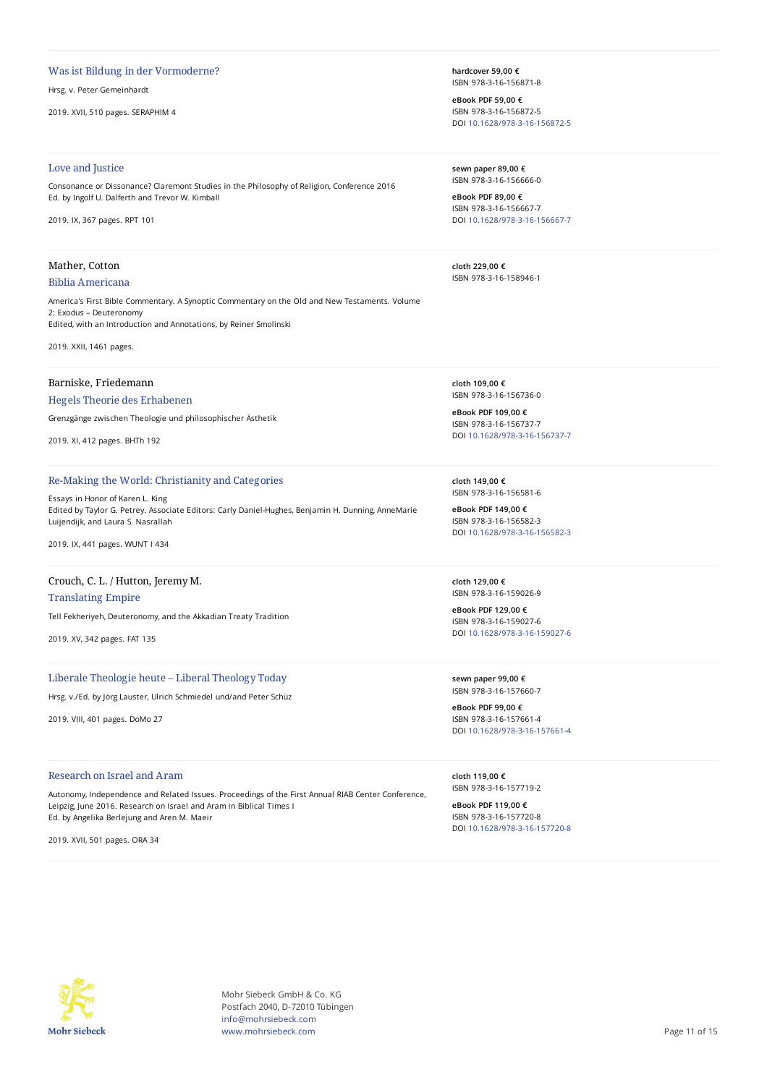#### Was ist Bildung in der Vormoderne?

Hrsg. v. Peter Gemeinhardt

2019. XVII, 510 pages. SERAPHIM 4

#### Love and Justice

Consonance or Dissonance? Claremont Studies in the Philosophy of Religion, Conference 2016 Ed. by Ingolf U. Dalferth and Trevor W. Kimball

2019. IX, 367 pages. RPT 101

# Mather, Cotton

# Biblia Americana

America's First Bible Commentary. A Synoptic Commentary on the Old and New Testaments. Volume 2: Exodus – Deuteronomy Edited, with an Introduction and Annotations, by Reiner Smolinski

2019. XXII, 1461 pages.

### Barniske, Friedemann

#### Hegels Theorie des Erhabenen

Grenzgänge zwischen Theologie und philosophischer Ästhetik

2019. XI, 412 pages. BHTh 192

#### Re-Making the World: Christianity and Categories

Essays in Honor of Karen L. King Edited by Taylor G. Petrey. Associate Editors: Carly Daniel-Hughes, Benjamin H. Dunning, AnneMarie Luijendijk, and Laura S. Nasrallah

2019. IX, 441 pages. WUNT I 434

# Crouch, C. L. / Hutton, Jeremy M.

Translating Empire Tell Fekheriyeh, Deuteronomy, and the Akkadian Treaty Tradition

2019. XV, 342 pages. FAT 135

# Liberale Theologie heute – Liberal Theology Today

Hrsg. v./Ed. by Jörg Lauster, Ulrich Schmiedel und/and Peter Schüz

2019. VIII, 401 pages. DoMo 27

#### Research on Israel and Aram

Autonomy, Independence and Related Issues. Proceedings of the First Annual RIAB Center Conference, Leipzig, June 2016. Research on Israel and Aram in Biblical Times I Ed. by Angelika Berlejung and Aren M. Maeir

2019. XVII, 501 pages. ORA 34

**hardcover 59,00 €** ISBN 978-3-16-156871-8

**eBook PDF 59,00 €** ISBN 978-3-16-156872-5 DOI [10.1628/978-3-16-156872-5](https://doi.org/10.1628/978-3-16-156872-5)

**sewn paper 89,00 €** ISBN 978-3-16-156666-0

**eBook PDF 89,00 €** ISBN 978-3-16-156667-7 DOI [10.1628/978-3-16-156667-7](https://doi.org/10.1628/978-3-16-156667-7)

**cloth 229,00 €** ISBN 978-3-16-158946-1

**cloth 109,00 €** ISBN 978-3-16-156736-0

**eBook PDF 109,00 €** ISBN 978-3-16-156737-7 DOI [10.1628/978-3-16-156737-7](https://doi.org/10.1628/978-3-16-156737-7)

**cloth 149,00 €** ISBN 978-3-16-156581-6

**eBook PDF 149,00 €** ISBN 978-3-16-156582-3 DOI [10.1628/978-3-16-156582-3](https://doi.org/10.1628/978-3-16-156582-3)

**cloth 129,00 €** ISBN 978-3-16-159026-9

**eBook PDF 129,00 €** ISBN 978-3-16-159027-6 DOI [10.1628/978-3-16-159027-6](https://doi.org/10.1628/978-3-16-159027-6)

**sewn paper 99,00 €** ISBN 978-3-16-157660-7

**eBook PDF 99,00 €** ISBN 978-3-16-157661-4 DOI [10.1628/978-3-16-157661-4](https://doi.org/10.1628/978-3-16-157661-4)

**cloth 119,00 €** ISBN 978-3-16-157719-2

**eBook PDF 119,00 €** ISBN 978-3-16-157720-8 DOI [10.1628/978-3-16-157720-8](https://doi.org/10.1628/978-3-16-157720-8)



Mohr Siebeck GmbH & Co. KG Postfach 2040, D-72010 Tübingen info@mohrsiebeck.com www.mohrsiebeck.com **Page 11 of 15**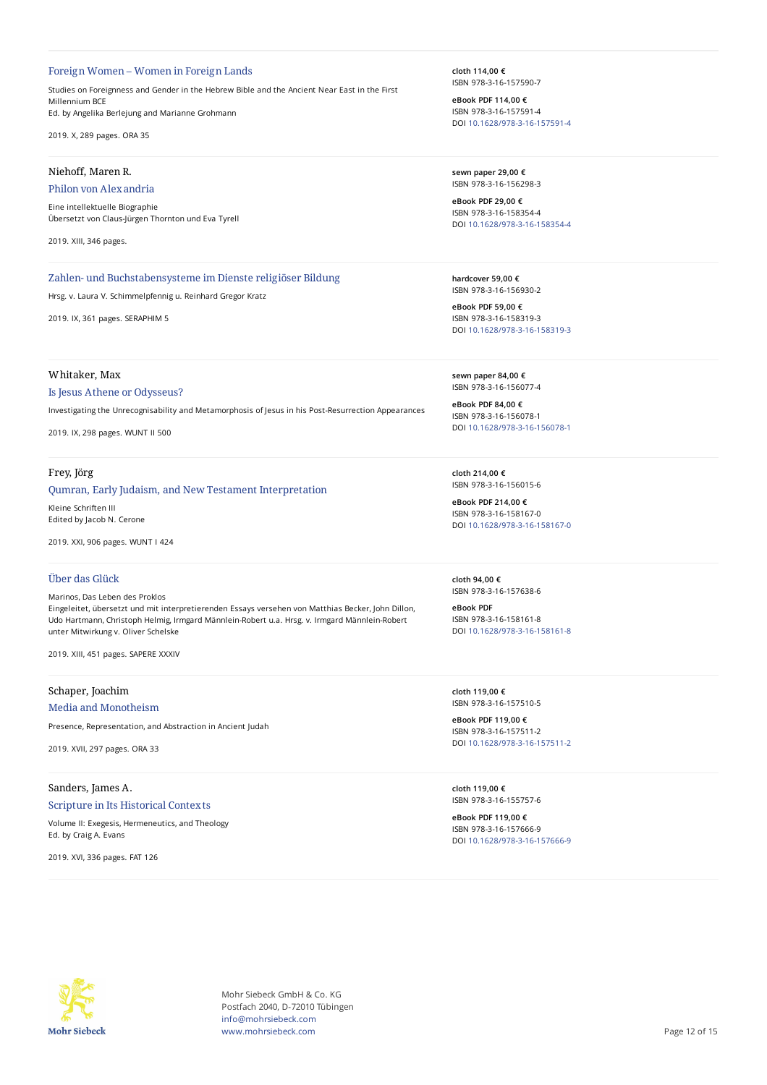#### Foreign Women – Women in Foreign Lands

Studies on Foreignness and Gender in the Hebrew Bible and the Ancient Near East in the First Millennium BCE Ed. by Angelika Berlejung and Marianne Grohmann

2019. X, 289 pages. ORA 35

#### Niehoff, Maren R.

#### Philon von Alexandria

Eine intellektuelle Biographie Übersetzt von Claus-Jürgen Thornton und Eva Tyrell

2019. XIII, 346 pages.

### Zahlen- und Buchstabensysteme im Dienste religiöser Bildung

Hrsg. v. Laura V. Schimmelpfennig u. Reinhard Gregor Kratz

2019. IX, 361 pages. SERAPHIM 5

# Whitaker, Max

#### Is Jesus Athene or Odysseus?

Investigating the Unrecognisability and Metamorphosis of Jesus in his Post-Resurrection Appearances

2019. IX, 298 pages. WUNT II 500

#### Frey, Jörg

#### Qumran, Early Judaism, and New Testament Interpretation

Kleine Schriften III Edited by Jacob N. Cerone

2019. XXI, 906 pages. WUNT I 424

### Über das Glück

Marinos, Das Leben des Proklos Eingeleitet, übersetzt und mit interpretierenden Essays versehen von Matthias Becker, John Dillon, Udo Hartmann, Christoph Helmig, Irmgard Männlein-Robert u.a. Hrsg. v. Irmgard Männlein-Robert unter Mitwirkung v. Oliver Schelske

2019. XIII, 451 pages. SAPERE XXXIV

# Schaper, Joachim

Media and Monotheism

Presence, Representation, and Abstraction in Ancient Judah

2019. XVII, 297 pages. ORA 33

# Sanders, James A. Scripture in Its Historical Contexts

Volume II: Exegesis, Hermeneutics, and Theology Ed. by Craig A. Evans

2019. XVI, 336 pages. FAT 126

**cloth 114,00 €** ISBN 978-3-16-157590-7

**eBook PDF 114,00 €** ISBN 978-3-16-157591-4 DOI [10.1628/978-3-16-157591-4](https://doi.org/10.1628/978-3-16-157591-4)

**sewn paper 29,00 €** ISBN 978-3-16-156298-3

**eBook PDF 29,00 €** ISBN 978-3-16-158354-4 DOI [10.1628/978-3-16-158354-4](https://doi.org/10.1628/978-3-16-158354-4)

**hardcover 59,00 €** ISBN 978-3-16-156930-2

**eBook PDF 59,00 €** ISBN 978-3-16-158319-3 DOI [10.1628/978-3-16-158319-3](https://doi.org/10.1628/978-3-16-158319-3)

**sewn paper 84,00 €** ISBN 978-3-16-156077-4

**eBook PDF 84,00 €** ISBN 978-3-16-156078-1 DOI [10.1628/978-3-16-156078-1](https://doi.org/10.1628/978-3-16-156078-1)

**cloth 214,00 €** ISBN 978-3-16-156015-6

**eBook PDF 214,00 €** ISBN 978-3-16-158167-0 DOI [10.1628/978-3-16-158167-0](https://doi.org/10.1628/978-3-16-158167-0)

**cloth 94,00 €** ISBN 978-3-16-157638-6

**eBook PDF** ISBN 978-3-16-158161-8 DOI [10.1628/978-3-16-158161-8](https://doi.org/10.1628/978-3-16-158161-8)

**cloth 119,00 €** ISBN 978-3-16-157510-5

**eBook PDF 119,00 €** ISBN 978-3-16-157511-2 DOI [10.1628/978-3-16-157511-2](https://doi.org/10.1628/978-3-16-157511-2)

**cloth 119,00 €** ISBN 978-3-16-155757-6

**eBook PDF 119,00 €** ISBN 978-3-16-157666-9 DOI [10.1628/978-3-16-157666-9](https://doi.org/10.1628/978-3-16-157666-9)



Mohr Siebeck GmbH & Co. KG Postfach 2040, D-72010 Tübingen info@mohrsiebeck.com www.mohrsiebeck.com **Page 12 of 15**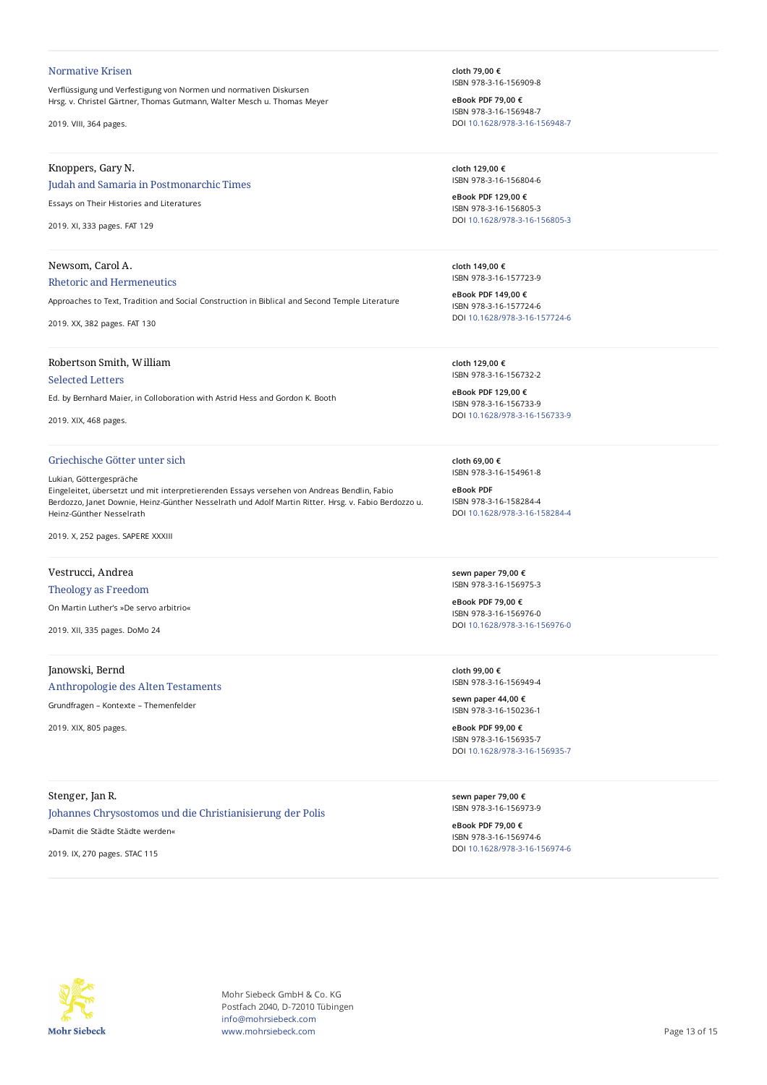#### Normative Krisen

Verflüssigung und Verfestigung von Normen und normativen Diskursen Hrsg. v. Christel Gärtner, Thomas Gutmann, Walter Mesch u. Thomas Meyer

2019. VIII, 364 pages.

# Knoppers, Gary N.

## Judah and Samaria in Postmonarchic Times

Essays on Their Histories and Literatures

2019. XI, 333 pages. FAT 129

#### Newsom, Carol A.

#### Rhetoric and Hermeneutics

Approaches to Text, Tradition and Social Construction in Biblical and Second Temple Literature

2019. XX, 382 pages. FAT 130

### Robertson Smith, William

## Selected Letters

Ed. by Bernhard Maier, in Colloboration with Astrid Hess and Gordon K. Booth

2019. XIX, 468 pages.

# Griechische Götter unter sich

#### Lukian, Göttergespräche

Eingeleitet, übersetzt und mit interpretierenden Essays versehen von Andreas Bendlin, Fabio Berdozzo, Janet Downie, Heinz-Günther Nesselrath und Adolf Martin Ritter. Hrsg. v. Fabio Berdozzo u. Heinz-Günther Nesselrath

2019. X, 252 pages. SAPERE XXXIII

### Vestrucci, Andrea

#### Theology as Freedom

On Martin Luther's »De servo arbitrio«

2019. XII, 335 pages. DoMo 24

# Janowski, Bernd

# Anthropologie des Alten Testaments

Grundfragen – Kontexte – Themenfelder

2019. XIX, 805 pages.

# Stenger, Jan R.

# Johannes Chrysostomos und die Christianisierung der Polis

»Damit die Städte Städte werden«

2019. IX, 270 pages. STAC 115

**cloth 79,00 €** ISBN 978-3-16-156909-8

**eBook PDF 79,00 €** ISBN 978-3-16-156948-7 DOI [10.1628/978-3-16-156948-7](https://doi.org/10.1628/978-3-16-156948-7)

**cloth 129,00 €** ISBN 978-3-16-156804-6

**eBook PDF 129,00 €** ISBN 978-3-16-156805-3 DOI [10.1628/978-3-16-156805-3](https://doi.org/10.1628/978-3-16-156805-3)

**cloth 149,00 €** ISBN 978-3-16-157723-9

**eBook PDF 149,00 €** ISBN 978-3-16-157724-6 DOI [10.1628/978-3-16-157724-6](https://doi.org/10.1628/978-3-16-157724-6)

**cloth 129,00 €** ISBN 978-3-16-156732-2

**eBook PDF 129,00 €** ISBN 978-3-16-156733-9 DOI [10.1628/978-3-16-156733-9](https://doi.org/10.1628/978-3-16-156733-9)

**cloth 69,00 €** ISBN 978-3-16-154961-8

**eBook PDF** ISBN 978-3-16-158284-4 DOI [10.1628/978-3-16-158284-4](https://doi.org/10.1628/978-3-16-158284-4)

**sewn paper 79,00 €** ISBN 978-3-16-156975-3

**eBook PDF 79,00 €** ISBN 978-3-16-156976-0 DOI [10.1628/978-3-16-156976-0](https://doi.org/10.1628/978-3-16-156976-0)

**cloth 99,00 €** ISBN 978-3-16-156949-4

**sewn paper 44,00 €** ISBN 978-3-16-150236-1

**eBook PDF 99,00 €** ISBN 978-3-16-156935-7 DOI [10.1628/978-3-16-156935-7](https://doi.org/10.1628/978-3-16-156935-7)

**sewn paper 79,00 €** ISBN 978-3-16-156973-9

**eBook PDF 79,00 €** ISBN 978-3-16-156974-6 DOI [10.1628/978-3-16-156974-6](https://doi.org/10.1628/978-3-16-156974-6)



Mohr Siebeck GmbH & Co. KG Postfach 2040, D-72010 Tübingen info@mohrsiebeck.com www.mohrsiebeck.com **Page 13 of 15**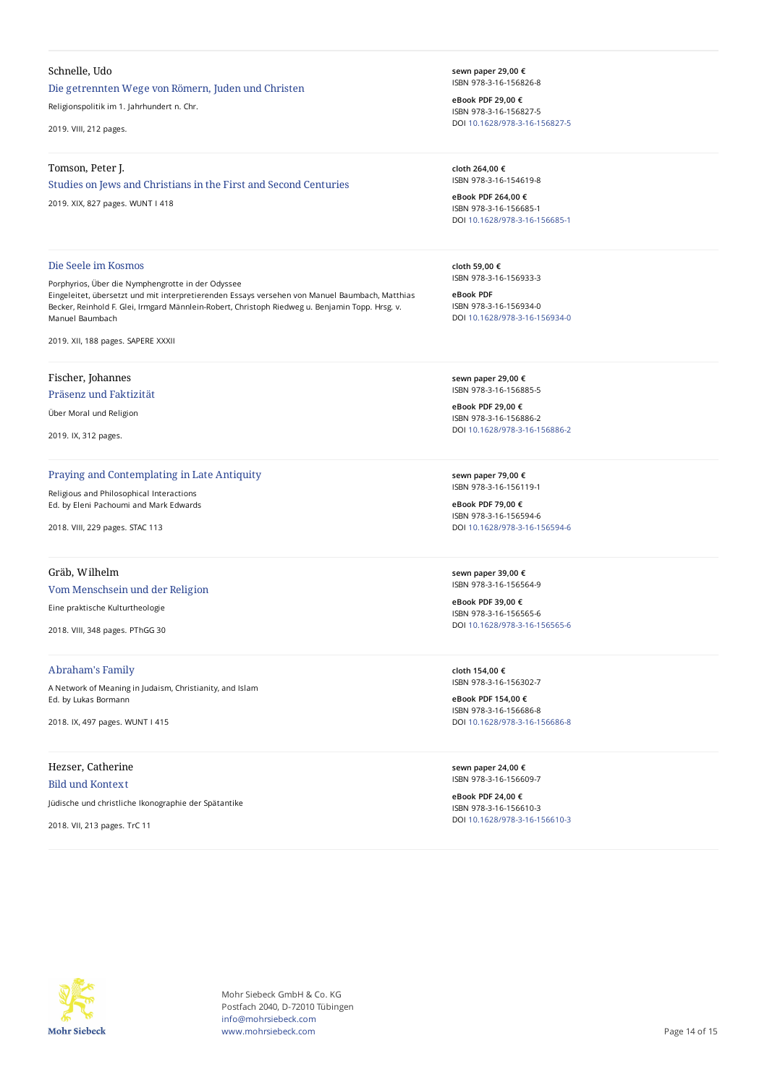### Schnelle, Udo

## Die getrennten Wege von Römern, Juden und Christen

Religionspolitik im 1. Jahrhundert n. Chr.

2019. VIII, 212 pages.

#### Tomson, Peter J.

#### Studies on Jews and Christians in the First and Second Centuries

2019. XIX, 827 pages. WUNT I 418

**sewn paper 29,00 €** ISBN 978-3-16-156826-8

**eBook PDF 29,00 €** ISBN 978-3-16-156827-5 DOI [10.1628/978-3-16-156827-5](https://doi.org/10.1628/978-3-16-156827-5)

**cloth 264,00 €** ISBN 978-3-16-154619-8

**eBook PDF 264,00 €** ISBN 978-3-16-156685-1 DOI [10.1628/978-3-16-156685-1](https://doi.org/10.1628/978-3-16-156685-1)

**cloth 59,00 €** ISBN 978-3-16-156933-3

**eBook PDF** ISBN 978-3-16-156934-0 DOI [10.1628/978-3-16-156934-0](https://doi.org/10.1628/978-3-16-156934-0)

**sewn paper 29,00 €** ISBN 978-3-16-156885-5

**eBook PDF 29,00 €** ISBN 978-3-16-156886-2 DOI [10.1628/978-3-16-156886-2](https://doi.org/10.1628/978-3-16-156886-2)

**sewn paper 79,00 €** ISBN 978-3-16-156119-1

**eBook PDF 79,00 €** ISBN 978-3-16-156594-6 DOI [10.1628/978-3-16-156594-6](https://doi.org/10.1628/978-3-16-156594-6)

**sewn paper 39,00 €** ISBN 978-3-16-156564-9

**eBook PDF 39,00 €** ISBN 978-3-16-156565-6 DOI [10.1628/978-3-16-156565-6](https://doi.org/10.1628/978-3-16-156565-6)

**cloth 154,00 €** ISBN 978-3-16-156302-7

**eBook PDF 154,00 €** ISBN 978-3-16-156686-8 DOI [10.1628/978-3-16-156686-8](https://doi.org/10.1628/978-3-16-156686-8)

**sewn paper 24,00 €** ISBN 978-3-16-156609-7

**eBook PDF 24,00 €** ISBN 978-3-16-156610-3 DOI [10.1628/978-3-16-156610-3](https://doi.org/10.1628/978-3-16-156610-3)

Die Seele im Kosmos Porphyrios, Über die Nymphengrotte in der Odyssee

Eingeleitet, übersetzt und mit interpretierenden Essays versehen von Manuel Baumbach, Matthias Becker, Reinhold F. Glei, Irmgard Männlein-Robert, Christoph Riedweg u. Benjamin Topp. Hrsg. v. Manuel Baumbach

2019. XII, 188 pages. SAPERE XXXII

# Fischer, Johannes

# Präsenz und Faktizität

Über Moral und Religion

2019. IX, 312 pages.

# Praying and Contemplating in Late Antiquity

Religious and Philosophical Interactions Ed. by Eleni Pachoumi and Mark Edwards

2018. VIII, 229 pages. STAC 113

## Gräb, Wilhelm

### Vom Menschsein und der Religion

Eine praktische Kulturtheologie

2018. VIII, 348 pages. PThGG 30

# Abraham's Family

A Network of Meaning in Judaism, Christianity, and Islam Ed. by Lukas Bormann

2018. IX, 497 pages. WUNT I 415

# Hezser, Catherine

# Bild und Kontext

Jüdische und christliche Ikonographie der Spätantike

2018. VII, 213 pages. TrC 11

**Mohr Siebeck** 

Mohr Siebeck GmbH & Co. KG Postfach 2040, D-72010 Tübingen info@mohrsiebeck.com www.mohrsiebeck.com **Page 14 of 15**